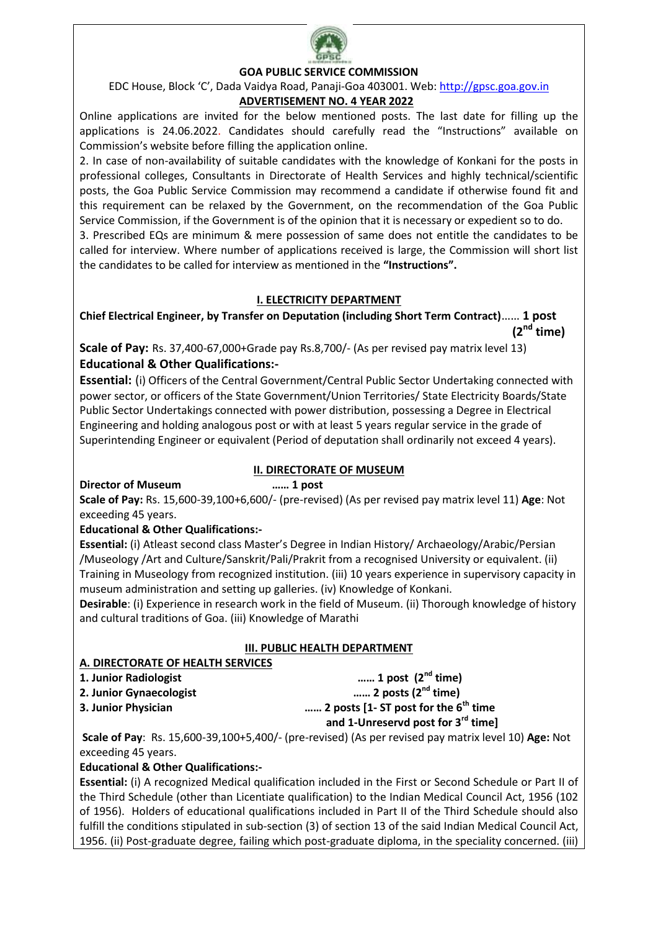

## **GOA PUBLIC SERVICE COMMISSION**

EDC House, Block 'C', Dada Vaidya Road, Panaji-Goa 403001. Web: [http://gpsc.goa.gov.in](http://gpsc.goa.gov.in/)

# **ADVERTISEMENT NO. 4 YEAR 2022**

Online applications are invited for the below mentioned posts. The last date for filling up the applications is 24.06.2022. Candidates should carefully read the "Instructions" available on Commission's website before filling the application online.

2. In case of non-availability of suitable candidates with the knowledge of Konkani for the posts in professional colleges, Consultants in Directorate of Health Services and highly technical/scientific posts, the Goa Public Service Commission may recommend a candidate if otherwise found fit and this requirement can be relaxed by the Government, on the recommendation of the Goa Public Service Commission, if the Government is of the opinion that it is necessary or expedient so to do. 3. Prescribed EQs are minimum & mere possession of same does not entitle the candidates to be called for interview. Where number of applications received is large, the Commission will short list the candidates to be called for interview as mentioned in the **"Instructions".**

## **I. ELECTRICITY DEPARTMENT**

**Chief Electrical Engineer, by Transfer on Deputation (including Short Term Contract)**…… **1 post (2nd time)**

**Scale of Pay:** Rs. 37,400-67,000+Grade pay Rs.8,700/- (As per revised pay matrix level 13) **Educational & Other Qualifications:-**

**Essential:** (i) Officers of the Central Government/Central Public Sector Undertaking connected with power sector, or officers of the State Government/Union Territories/ State Electricity Boards/State Public Sector Undertakings connected with power distribution, possessing a Degree in Electrical Engineering and holding analogous post or with at least 5 years regular service in the grade of Superintending Engineer or equivalent (Period of deputation shall ordinarily not exceed 4 years).

## **II. DIRECTORATE OF MUSEUM**

**Director of Museum …… 1 post** 

**Scale of Pay:** Rs. 15,600-39,100+6,600/- (pre-revised) (As per revised pay matrix level 11) **Age**: Not exceeding 45 years.

## **Educational & Other Qualifications:-**

**Essential:** (i) Atleast second class Master's Degree in Indian History/ Archaeology/Arabic/Persian /Museology /Art and Culture/Sanskrit/Pali/Prakrit from a recognised University or equivalent. (ii) Training in Museology from recognized institution. (iii) 10 years experience in supervisory capacity in museum administration and setting up galleries. (iv) Knowledge of Konkani.

**Desirable**: (i) Experience in research work in the field of Museum. (ii) Thorough knowledge of history and cultural traditions of Goa. (iii) Knowledge of Marathi

## **III. PUBLIC HEALTH DEPARTMENT**

## **A. DIRECTORATE OF HEALTH SERVICES**

**1. Junior Radiologist …… 1 post (2nd time) 2. Junior Gynaecologist …… 2 posts (2nd time) 3. Junior Physician …… 2 posts [1- ST post for the 6th time and 1-Unreservd post for 3rd time]**

**Scale of Pay**: Rs. 15,600-39,100+5,400/- (pre-revised) (As per revised pay matrix level 10) **Age:** Not exceeding 45 years.

## **Educational & Other Qualifications:-**

**Essential:** (i) A recognized Medical qualification included in the First or Second Schedule or Part II of the Third Schedule (other than Licentiate qualification) to the Indian Medical Council Act, 1956 (102 of 1956). Holders of educational qualifications included in Part II of the Third Schedule should also fulfill the conditions stipulated in sub-section (3) of section 13 of the said Indian Medical Council Act, 1956. (ii) Post-graduate degree, failing which post-graduate diploma, in the speciality concerned. (iii)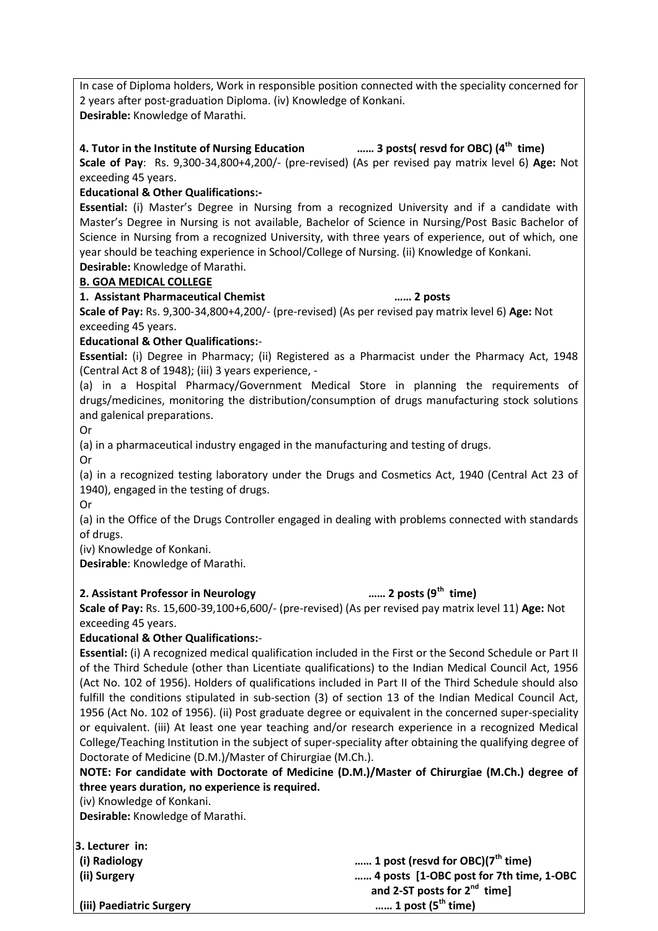In case of Diploma holders, Work in responsible position connected with the speciality concerned for 2 years after post-graduation Diploma. (iv) Knowledge of Konkani. **Desirable:** Knowledge of Marathi.

## **4. Tutor in the Institute of Nursing Education …… 3 posts( resvd for OBC) (4 th time)**

**Scale of Pay**: Rs. 9,300-34,800+4,200/- (pre-revised) (As per revised pay matrix level 6) **Age:** Not exceeding 45 years.

## **Educational & Other Qualifications:-**

**Essential:** (i) Master's Degree in Nursing from a recognized University and if a candidate with Master's Degree in Nursing is not available, Bachelor of Science in Nursing/Post Basic Bachelor of Science in Nursing from a recognized University, with three years of experience, out of which, one year should be teaching experience in School/College of Nursing. (ii) Knowledge of Konkani.

**Desirable:** Knowledge of Marathi.

### **B. GOA MEDICAL COLLEGE**

### **1. Assistant Pharmaceutical Chemist …… 2 posts**

**Scale of Pay:** Rs. 9,300-34,800+4,200/- (pre-revised) (As per revised pay matrix level 6) **Age:** Not exceeding 45 years.

### **Educational & Other Qualifications:**-

**Essential:** (i) Degree in Pharmacy; (ii) Registered as a Pharmacist under the Pharmacy Act, 1948 (Central Act 8 of 1948); (iii) 3 years experience, -

(a) in a Hospital Pharmacy/Government Medical Store in planning the requirements of drugs/medicines, monitoring the distribution/consumption of drugs manufacturing stock solutions and galenical preparations.

Or

(a) in a pharmaceutical industry engaged in the manufacturing and testing of drugs.

Or

(a) in a recognized testing laboratory under the Drugs and Cosmetics Act, 1940 (Central Act 23 of 1940), engaged in the testing of drugs.

Or

(a) in the Office of the Drugs Controller engaged in dealing with problems connected with standards of drugs.

(iv) Knowledge of Konkani.

**Desirable**: Knowledge of Marathi.

#### **2. Assistant Professor in Neurology**

## $\ldots$  2 posts ( $9^{th}$  time)

**Scale of Pay:** Rs. 15,600-39,100+6,600/- (pre-revised) (As per revised pay matrix level 11) **Age:** Not exceeding 45 years.

## **Educational & Other Qualifications:**-

**Essential:** (i) A recognized medical qualification included in the First or the Second Schedule or Part II of the Third Schedule (other than Licentiate qualifications) to the Indian Medical Council Act, 1956 (Act No. 102 of 1956). Holders of qualifications included in Part II of the Third Schedule should also fulfill the conditions stipulated in sub-section (3) of section 13 of the Indian Medical Council Act, 1956 (Act No. 102 of 1956). (ii) Post graduate degree or equivalent in the concerned super-speciality or equivalent. (iii) At least one year teaching and/or research experience in a recognized Medical College/Teaching Institution in the subject of super-speciality after obtaining the qualifying degree of Doctorate of Medicine (D.M.)/Master of Chirurgiae (M.Ch.).

**NOTE: For candidate with Doctorate of Medicine (D.M.)/Master of Chirurgiae (M.Ch.) degree of three years duration, no experience is required.**

(iv) Knowledge of Konkani.

**Desirable:** Knowledge of Marathi.

**3. Lecturer in:**

**(i) Radiology …… 1 post (resvd for OBC)(7th time) (ii) Surgery …… 4 posts [1-OBC post for 7th time, 1-OBC and 2-ST posts for 2<sup>nd</sup> time**] ...... 1 post (5<sup>th</sup> time)

**(iii) Paediatric Surgery …… 1 post (5**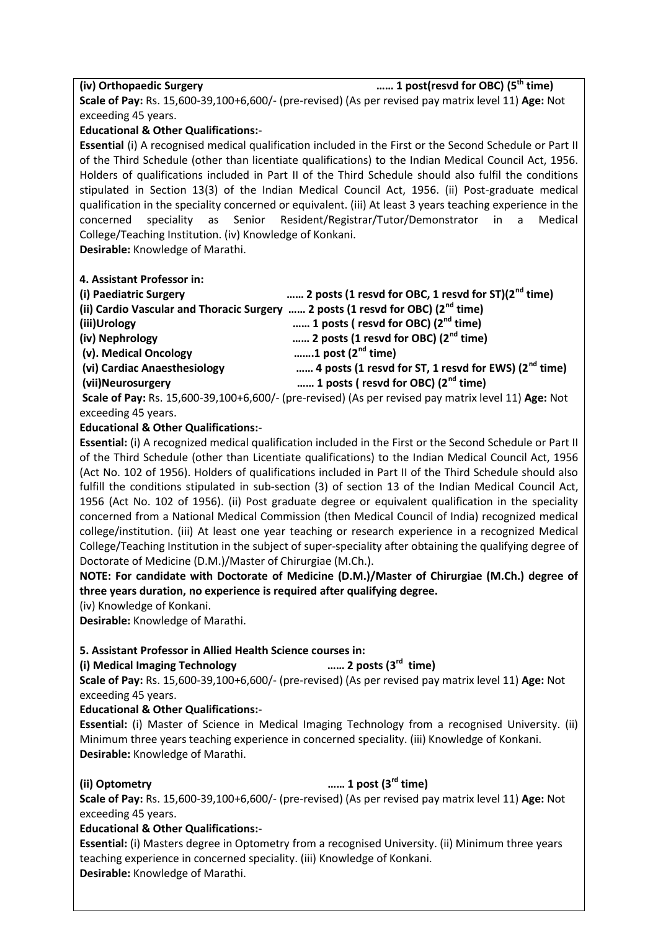**(iv) Orthopaedic Surgery …… 1 post(resvd for OBC) (5 th time)**

**Scale of Pay:** Rs. 15,600-39,100+6,600/- (pre-revised) (As per revised pay matrix level 11) **Age:** Not exceeding 45 years.

### **Educational & Other Qualifications:**-

**Essential** (i) A recognised medical qualification included in the First or the Second Schedule or Part II of the Third Schedule (other than licentiate qualifications) to the Indian Medical Council Act, 1956. Holders of qualifications included in Part II of the Third Schedule should also fulfil the conditions stipulated in Section 13(3) of the Indian Medical Council Act, 1956. (ii) Post-graduate medical qualification in the speciality concerned or equivalent. (iii) At least 3 years teaching experience in the concerned speciality as Senior Resident/Registrar/Tutor/Demonstrator in a Medical College/Teaching Institution. (iv) Knowledge of Konkani.

**Desirable:** Knowledge of Marathi.

#### **4. Assistant Professor in:**

| (i) Paediatric Surgery                                                                | 2 posts (1 resvd for OBC, 1 resvd for ST) $(2^{nd}$ time)                                                                                                                                                                                                                                                                               |
|---------------------------------------------------------------------------------------|-----------------------------------------------------------------------------------------------------------------------------------------------------------------------------------------------------------------------------------------------------------------------------------------------------------------------------------------|
| (ii) Cardio Vascular and Thoracic Surgery  2 posts (1 resvd for OBC) ( $2^{nd}$ time) |                                                                                                                                                                                                                                                                                                                                         |
| (iii)Urology                                                                          | 1 posts (resvd for OBC) $(2^{nd}$ time)                                                                                                                                                                                                                                                                                                 |
| (iv) Nephrology                                                                       | 2 posts (1 resvd for OBC) $(2^{nd}$ time)                                                                                                                                                                                                                                                                                               |
| (v). Medical Oncology                                                                 | 1 post $(2^{nd}$ time)                                                                                                                                                                                                                                                                                                                  |
| (vi) Cardiac Anaesthesiology                                                          | 4 posts (1 resvd for ST, 1 resvd for EWS) ( $2nd$ time)                                                                                                                                                                                                                                                                                 |
| (vii)Neurosurgery                                                                     | 1 posts (resvd for OBC) $(2^{nd}$ time)                                                                                                                                                                                                                                                                                                 |
|                                                                                       | $\mathbf{c}$ . I. $\mathbf{f}$ $\mathbf{b}$ , $\mathbf{b}$ , $\mathbf{d}$ $\mathbf{c}$ $\mathbf{c}$ $\mathbf{c}$ $\mathbf{c}$ $\mathbf{c}$ $\mathbf{c}$ $\mathbf{c}$ $\mathbf{d}$ , $\mathbf{d}$ , $\mathbf{d}$ , $\mathbf{d}$ , $\mathbf{d}$ , $\mathbf{d}$ , $\mathbf{d}$ , $\mathbf{d}$ , $\mathbf{d}$ , $\mathbf{d}$ , $\mathbf{d}$ |

**Scale of Pay:** Rs. 15,600-39,100+6,600/- (pre-revised) (As per revised pay matrix level 11) **Age:** Not exceeding 45 years.

## **Educational & Other Qualifications:**-

**Essential:** (i) A recognized medical qualification included in the First or the Second Schedule or Part II of the Third Schedule (other than Licentiate qualifications) to the Indian Medical Council Act, 1956 (Act No. 102 of 1956). Holders of qualifications included in Part II of the Third Schedule should also fulfill the conditions stipulated in sub-section (3) of section 13 of the Indian Medical Council Act, 1956 (Act No. 102 of 1956). (ii) Post graduate degree or equivalent qualification in the speciality concerned from a National Medical Commission (then Medical Council of India) recognized medical college/institution. (iii) At least one year teaching or research experience in a recognized Medical College/Teaching Institution in the subject of super-speciality after obtaining the qualifying degree of Doctorate of Medicine (D.M.)/Master of Chirurgiae (M.Ch.).

**NOTE: For candidate with Doctorate of Medicine (D.M.)/Master of Chirurgiae (M.Ch.) degree of three years duration, no experience is required after qualifying degree.**

(iv) Knowledge of Konkani.

**Desirable:** Knowledge of Marathi.

## **5. Assistant Professor in Allied Health Science courses in:**

#### **(i) Medical Imaging Technology**

...... 2 posts (3<sup>rd</sup> time) **Scale of Pay:** Rs. 15,600-39,100+6,600/- (pre-revised) (As per revised pay matrix level 11) **Age:** Not exceeding 45 years.

#### **Educational & Other Qualifications:**-

**Essential:** (i) Master of Science in Medical Imaging Technology from a recognised University. (ii) Minimum three years teaching experience in concerned speciality. (iii) Knowledge of Konkani. **Desirable:** Knowledge of Marathi.

#### **(ii) Optometry …… 1 post (3**

#### ...... 1 post (3<sup>rd</sup> time)

**Scale of Pay:** Rs. 15,600-39,100+6,600/- (pre-revised) (As per revised pay matrix level 11) **Age:** Not exceeding 45 years.

## **Educational & Other Qualifications:**-

**Essential:** (i) Masters degree in Optometry from a recognised University. (ii) Minimum three years teaching experience in concerned speciality. (iii) Knowledge of Konkani. **Desirable:** Knowledge of Marathi.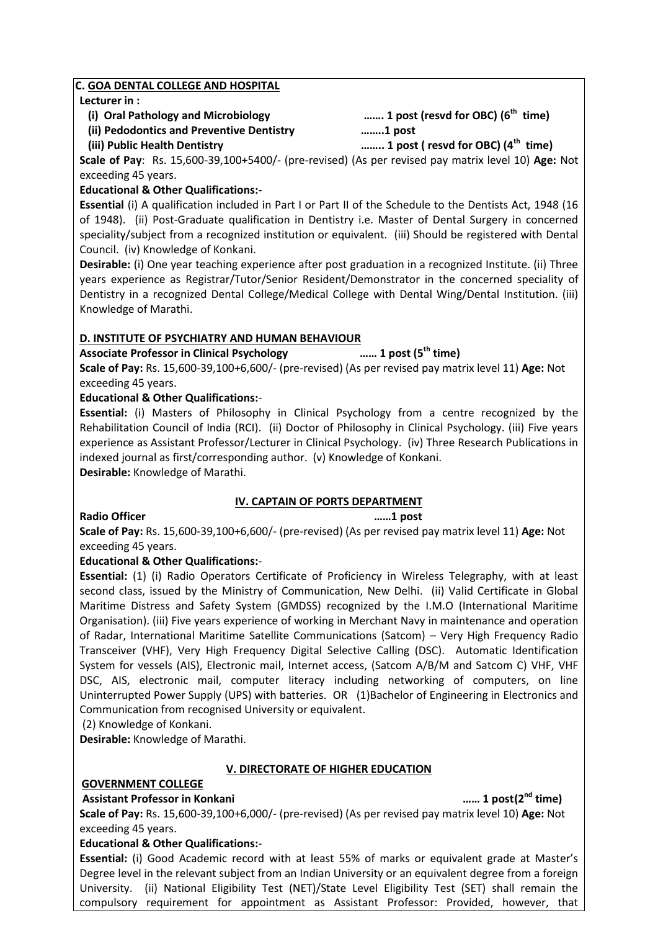### **C. GOA DENTAL COLLEGE AND HOSPITAL**

### **Lecturer in :**

 **(i) Oral Pathology and Microbiology ……. 1 post (resvd for OBC) (6**

**th time)**

 **(ii) Pedodontics and Preventive Dentistry ……..1 post**

 **(iii) Public Health Dentistry …….. 1 post ( resvd for OBC) (4 th time)**

**Scale of Pay**: Rs. 15,600-39,100+5400/- (pre-revised) (As per revised pay matrix level 10) **Age:** Not exceeding 45 years.

## **Educational & Other Qualifications:-**

**Essential** (i) A qualification included in Part I or Part II of the Schedule to the Dentists Act, 1948 (16 of 1948). (ii) Post-Graduate qualification in Dentistry i.e. Master of Dental Surgery in concerned speciality/subject from a recognized institution or equivalent. (iii) Should be registered with Dental Council. (iv) Knowledge of Konkani.

**Desirable:** (i) One year teaching experience after post graduation in a recognized Institute. (ii) Three years experience as Registrar/Tutor/Senior Resident/Demonstrator in the concerned speciality of Dentistry in a recognized Dental College/Medical College with Dental Wing/Dental Institution. (iii) Knowledge of Marathi.

## **D. INSTITUTE OF PSYCHIATRY AND HUMAN BEHAVIOUR**

**Associate Professor in Clinical Psychology …… 1 post (5**

...... 1 post (5<sup>th</sup> time)

**Scale of Pay:** Rs. 15,600-39,100+6,600/- (pre-revised) (As per revised pay matrix level 11) **Age:** Not exceeding 45 years.

## **Educational & Other Qualifications:**-

**Essential:** (i) Masters of Philosophy in Clinical Psychology from a centre recognized by the Rehabilitation Council of India (RCI). (ii) Doctor of Philosophy in Clinical Psychology. (iii) Five years experience as Assistant Professor/Lecturer in Clinical Psychology. (iv) Three Research Publications in indexed journal as first/corresponding author. (v) Knowledge of Konkani.

**Desirable:** Knowledge of Marathi.

## **IV. CAPTAIN OF PORTS DEPARTMENT**

## **Radio Officer ……1 post**

**Scale of Pay:** Rs. 15,600-39,100+6,600/- (pre-revised) (As per revised pay matrix level 11) **Age:** Not exceeding 45 years.

## **Educational & Other Qualifications:**-

**Essential:** (1) (i) Radio Operators Certificate of Proficiency in Wireless Telegraphy, with at least second class, issued by the Ministry of Communication, New Delhi. (ii) Valid Certificate in Global Maritime Distress and Safety System (GMDSS) recognized by the I.M.O (International Maritime Organisation). (iii) Five years experience of working in Merchant Navy in maintenance and operation of Radar, International Maritime Satellite Communications (Satcom) – Very High Frequency Radio Transceiver (VHF), Very High Frequency Digital Selective Calling (DSC). Automatic Identification System for vessels (AIS), Electronic mail, Internet access, (Satcom A/B/M and Satcom C) VHF, VHF DSC, AIS, electronic mail, computer literacy including networking of computers, on line Uninterrupted Power Supply (UPS) with batteries. OR (1)Bachelor of Engineering in Electronics and Communication from recognised University or equivalent.

(2) Knowledge of Konkani.

**Desirable:** Knowledge of Marathi.

## **V. DIRECTORATE OF HIGHER EDUCATION**

## **GOVERNMENT COLLEGE**

## **Assistant Professor in Konkani …… 1 post(2nd time)**

**Scale of Pay:** Rs. 15,600-39,100+6,000/- (pre-revised) (As per revised pay matrix level 10) **Age:** Not exceeding 45 years.

## **Educational & Other Qualifications:**-

**Essential:** (i) Good Academic record with at least 55% of marks or equivalent grade at Master's Degree level in the relevant subject from an Indian University or an equivalent degree from a foreign University. (ii) National Eligibility Test (NET)/State Level Eligibility Test (SET) shall remain the compulsory requirement for appointment as Assistant Professor: Provided, however, that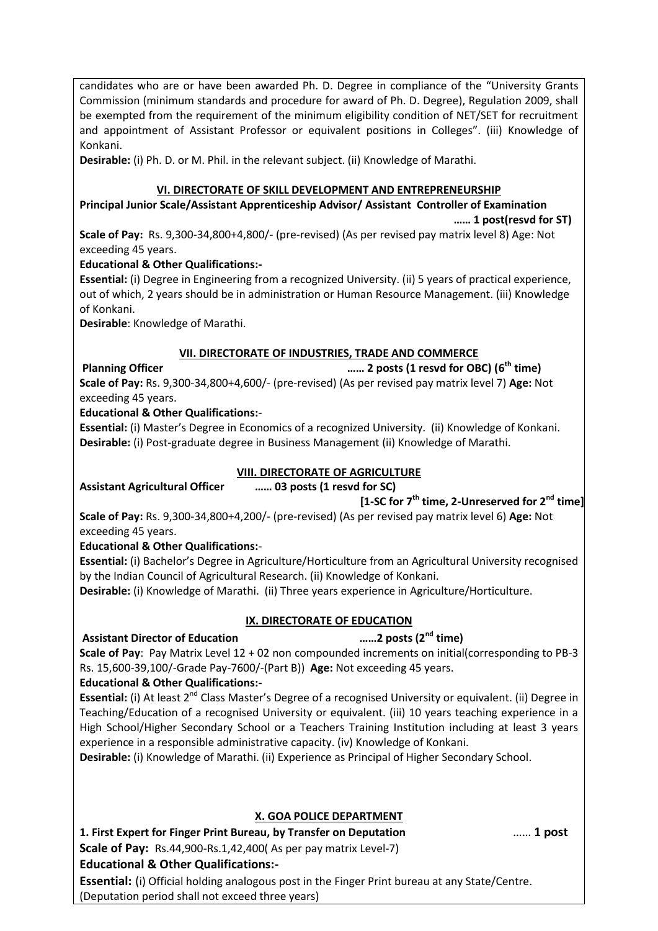candidates who are or have been awarded Ph. D. Degree in compliance of the "University Grants Commission (minimum standards and procedure for award of Ph. D. Degree), Regulation 2009, shall be exempted from the requirement of the minimum eligibility condition of NET/SET for recruitment and appointment of Assistant Professor or equivalent positions in Colleges". (iii) Knowledge of Konkani.

**Desirable:** (i) Ph. D. or M. Phil. in the relevant subject. (ii) Knowledge of Marathi.

## **VI. DIRECTORATE OF SKILL DEVELOPMENT AND ENTREPRENEURSHIP**

**Principal Junior Scale/Assistant Apprenticeship Advisor/ Assistant Controller of Examination**

 **…… 1 post(resvd for ST)**

**Scale of Pay:** Rs. 9,300-34,800+4,800/- (pre-revised) (As per revised pay matrix level 8) Age: Not exceeding 45 years.

## **Educational & Other Qualifications:-**

**Essential:** (i) Degree in Engineering from a recognized University. (ii) 5 years of practical experience, out of which, 2 years should be in administration or Human Resource Management. (iii) Knowledge of Konkani.

**Desirable**: Knowledge of Marathi.

## **VII. DIRECTORATE OF INDUSTRIES, TRADE AND COMMERCE**

**Planning Officer …… 2 posts (1 resvd for OBC) (6 th time) Scale of Pay:** Rs. 9,300-34,800+4,600/- (pre-revised) (As per revised pay matrix level 7) **Age:** Not exceeding 45 years.

## **Educational & Other Qualifications:**-

**Essential:** (i) Master's Degree in Economics of a recognized University. (ii) Knowledge of Konkani. **Desirable:** (i) Post-graduate degree in Business Management (ii) Knowledge of Marathi.

## **VIII. DIRECTORATE OF AGRICULTURE**

**Assistant Agricultural Officer …… 03 posts (1 resvd for SC)**

# **[1-SC for 7 th time, 2-Unreserved for 2nd time]**

**Scale of Pay:** Rs. 9,300-34,800+4,200/- (pre-revised) (As per revised pay matrix level 6) **Age:** Not exceeding 45 years.

## **Educational & Other Qualifications:**-

**Essential:** (i) Bachelor's Degree in Agriculture/Horticulture from an Agricultural University recognised by the Indian Council of Agricultural Research. (ii) Knowledge of Konkani.

**Desirable:** (i) Knowledge of Marathi. (ii) Three years experience in Agriculture/Horticulture.

## **IX. DIRECTORATE OF EDUCATION**

## **Assistant Director of Education ……2 posts (2nd time)**

**Scale of Pay**: Pay Matrix Level 12 + 02 non compounded increments on initial(corresponding to PB-3 Rs. 15,600-39,100/-Grade Pay-7600/-(Part B)) **Age:** Not exceeding 45 years.

## **Educational & Other Qualifications:-**

**Essential:** (i) At least 2<sup>nd</sup> Class Master's Degree of a recognised University or equivalent. (ii) Degree in Teaching/Education of a recognised University or equivalent. (iii) 10 years teaching experience in a High School/Higher Secondary School or a Teachers Training Institution including at least 3 years experience in a responsible administrative capacity. (iv) Knowledge of Konkani.

**Desirable:** (i) Knowledge of Marathi. (ii) Experience as Principal of Higher Secondary School.

## **X. GOA POLICE DEPARTMENT**

**1. First Expert for Finger Print Bureau, by Transfer on Deputation** …… **1 post Scale of Pay:** Rs.44,900-Rs.1,42,400( As per pay matrix Level-7) **Educational & Other Qualifications:-**

**Essential:** (i) Official holding analogous post in the Finger Print bureau at any State/Centre. (Deputation period shall not exceed three years)